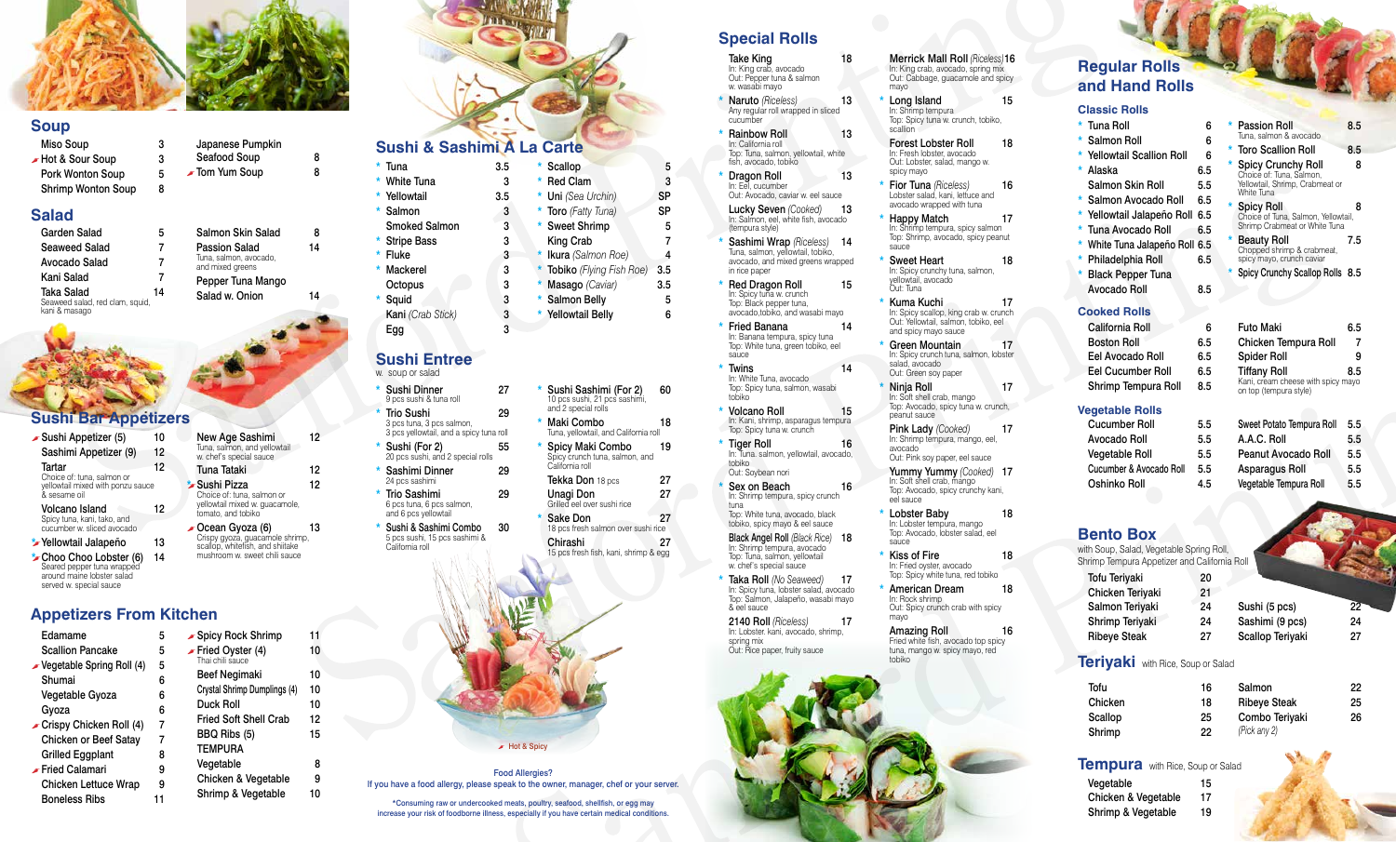# **Sushi & Sashimi A La Carte**

#### $*$  Tuna 3.5 \* White Tuna 3

- \* Yellowtail 3.5
- \* Salmon 3
- Smoked Salmon 3 \* Stripe Bass 3
- $*$  Fluke 3
- \* Mackerel 3 Octopus 3
- Squid 3
- Kani *(Crab Stick)* 3

Scallop 5 \* Red Clam 3 \* Uni *(Sea Urchin)* SP \* Toro *(Fatty Tuna)* SP \* Sweet Shrimp 5 King Crab 7 \* Ikura *(Salmon Roe)* 4 \* Tobiko *(Flying Fish Roe)* 3.5

\* Masago *(Caviar)* 3.5 \* Salmon Belly 5 \* Yellowtail Belly 6

# **Special Rolls**

- Take King 18 In: King crab, avocado Out: Pepper tuna & salmon w. wasabi mayo
- \* Naruto *(Riceless)* 13 Any regular roll wrapped in sliced cucumber
- **Rainbow Roll 13** In: California roll Top: Tuna, salmon, yellowtail, white
- fish, avocado, tobiko **Dragon Roll 13** In: Eel, cucumber Out: Avocado, caviar w. eel sauce
- Lucky Seven *(Cooked)* 13 In: Salmon, eel, white fish, avocado (tempura style)
- Sashimi Wrap *(Riceless)* 14 Tuna, salmon, yellowtail, tobiko, avocado, and mixed greens wrapped in rice paper
- Red Dragon Roll 15 In: Spicy tuna w. crunch Top: Black pepper tuna, avocado,tobiko, and wasabi mayo
- \* Fried Banana 14 In: Banana tempura, spicy tuna Top: White tuna, green tobiko, eel sauce
- \* Twins 14 In: White Tuna, avocado Top: Spicy tuna, salmon, wasabi tobiko
- \* Volcano Roll 15 In: Kani, shrimp, asparagus tempura Top: Spicy tuna w. crunch
- \* Tiger Roll 16 In: Tuna. salmon, yellowtail, avocado, tobiko Out: Soybean nori
- Sex on Beach 16 In: Shrimp tempura, spicy crunch tuna Top: White tuna, avocado, black

Taka Roll *(No Seaweed)* 17 In: Spicy tuna, lobster salad, avocado Top: Salmon, Jalapeño, wasabi mayo & eel sauce

tobiko, spicy mayo & eel sauce Black Angel Roll *(Black Rice)* 18 In: Shrimp tempura, avocado Top: Tuna, salmon, yellowtail w. chef's special sauce

- Long Island 15 In: Shrimp tempura Top: Spicy tuna w. crunch, tobiko, scallion
- Forest Lobster Roll 18 In: Fresh lobster, avocado Out: Lobster, salad, mango w. spicy mayo
- **Fior Tuna** *(Riceless)* 16 Lobster salad, kani, lettuce and avocado wrapped with tuna
- Happy Match 17 In: Shrimp tempura, spicy salmon Top: Shrimp, avocado, spicy peanut sauce
- Sweet Heart 18 In: Spicy crunchy tuna, salmon, yellowtail, avocado Out: Tuna
- Kuma Kuchi 17 In: Spicy scallop, king crab w. crunch Out: Yellowtail, salmon, tobiko, eel and spicy mayo sauce
- Green Mountain 17 In: Spicy crunch tuna, salmon, lobster salad, avocado Out: Green soy paper
- Ninja Roll 17 In: Soft shell crab, mango Top: Avocado, spicy tuna w. crunch, peanut sauce
- Pink Lady *(Cooked)* 17 In: Shrimp tempura, mango, eel, avocado Out: Pink soy paper, eel sauce
- Yummy Yummy *(Cooked)* 17 In: Soft shell crab, mango Top: Avocado, spicy crunchy kani, eel sauce
- Lobster Baby 18 In: Lobster tempura, mango Top: Avocado, lobster salad, eel sauce
- Kiss of Fire 18 In: Fried oyster, avocado Top: Spicy white tuna, red tobiko
- American Dream 18 In: Rock shrimp Out: Spicy crunch crab with spicy mayo

Amazing Roll 16 Fried white fish, avocado top spicy tuna, mango w. spicy mayo, red tobiko

 $\blacktriangleright$  Hot & Spicy

2140 Roll *(Riceless)* 17 In: Lobster. kani, avocado, shrimp, spring mix Out: Rice paper, fruity sauce

#### Merrick Mall Roll *(Riceless)*16 In: King crab, avocado, spring mix Out: Cabbage, guacamole and spicy mayo

- Egg 3
- Sushi Dinner 27 w. soup or salad
- Trio Sushi 29
- Sushi (For 2) 55
- \* Sashimi Dinner 29
- \* Trio Sashimi 29
- \* Sushi & Sashimi Combo 30 California roll

Spicy Maki Combo 19 Spicy crunch tuna, salmon, and

California roll Tekka Don 18 pcs 27

Grilled eel over sushi rice \* Sake Don 27



Japanese Pumpkin Seafood Soup 8 **■** Tom Yum Soup 8

# **Regular Rolls and Hand Rolls**

New Age Sashimi 12 Tuna, salmon, and yellowtail w. chef's special sauce

Tuna Tataki 12 \*sushi Pizza 12 Choice of: tuna, salmon or yellowtail mixed w. guacamole, tomato, and tobiko

| <b>Futo Maki</b>                                       | 6.5 |
|--------------------------------------------------------|-----|
| Chicken Tempura Roll                                   |     |
| <b>Spider Roll</b>                                     | 9   |
| Tiffany Roll 8.5<br>Kani, cream cheese with spicy mayo | 8.5 |
| on top (tempura style)                                 |     |

 $\sim$  Ocean Gyoza (6) 13 Crispy gyoza, guacamole shrimp, scallop, whitefish, and shiitake mushroom w. sweet chili sauce

#### **Bento Box**

Tuna, salmon, avocado, and mixed greens Pepper Tuna Mango Salad w. Onion 14

Salmon Skin Salad 8 Passion Salad 14

> with Soup, Salad, Vegetable Spring Roll, Shrimp Tempura Appetizer and California Roll

### **Vegetable Rolls**

| <b>Cucumber Roll</b>    | 5.5 |
|-------------------------|-----|
| Avocado Roll            | 5.5 |
| <b>Vegetable Roll</b>   | 5.5 |
| Cucumber & Avocado Roll | 5.5 |
| Oshinko Roll            | 4.5 |

| Sweet Potato Tempura Roll | $5.5\,$ |
|---------------------------|---------|
| A.A.C. Roll               | 5.5     |
| Peanut Avocado Roll       | 5.5     |
| <b>Asparagus Roll</b>     | 5.5     |
| Vegetable Tempura Roll    | 5.5     |

Tofu Teriyaki 20

| iolu ierivaki       | ۷J |                  |    |
|---------------------|----|------------------|----|
| Chicken Teriyaki    | 21 |                  |    |
| Salmon Teriyaki     | 24 | Sushi (5 pcs)    | 22 |
| Shrimp Teriyaki     | 24 | Sashimi (9 pcs)  | 24 |
| <b>Ribeye Steak</b> | 27 | Scallop Teriyaki | 27 |
|                     |    |                  |    |

### **Teriyaki** with Rice, Soup or Salad

| Tofu    | 16 | Salmon              | 22. |
|---------|----|---------------------|-----|
| Chicken | 18 | <b>Ribeye Steak</b> | 25  |
| Scallop | 25 | Combo Teriyaki      | 26  |
| Shrimp  | 22 | (Pick any 2)        |     |

### **Tempura** with Rice, Soup or Salad

| Vegetable           | 15 |
|---------------------|----|
| Chicken & Vegetable | 17 |
| Shrimp & Vegetable  | 19 |

| $\star$ | <b>Tuna Roll</b>             | 6   |
|---------|------------------------------|-----|
|         | * Salmon Roll                | 6   |
|         | * Yellowtail Scallion Roll   | 6   |
| *       | Alaska                       | 6.5 |
|         | Salmon Skin Roll             | 5.5 |
| *       | Salmon Avocado Roll          | 6.5 |
| *       | Yellowtail Jalapeño Roll     | 6.5 |
| *       | Tuna Avocado Roll            | 6.5 |
| *       | White Tuna Jalapeño Roll 6.5 |     |
| *       | Philadelphia Roll            | 6.5 |
| *       | <b>Black Pepper Tuna</b>     |     |
|         | <b>Avocado Roll</b>          | 8.5 |
|         | <b>Cooked Rolls</b>          |     |
|         | California Roll              | 6   |
|         | <b>Boston Roll</b>           | 6.5 |
|         | Eel Avocado Roll             | 6.5 |
|         | Eel Cucumber Roll            | 6.5 |

| Shrimp Tempura Roll |  |
|---------------------|--|
|                     |  |

 $8.5$ 

- 9 pcs sushi & tuna roll
- 3 pcs tuna, 3 pcs salmon, 3 pcs yellowtail, and a spicy tuna roll
- 20 pcs sushi, and 2 special rolls
- 24 pcs sashimi
- 6 pcs tuna, 6 pcs salmon, and 6 pcs yellowtail
- 5 pcs sushi, 15 pcs sashimi &
- and 2 special rolls
	- Tuna, yellowtail, and California roll

# Unagi Don 27

18 pcs fresh salmon over sushi rice

Chirashi 27 15 pcs fresh fish, kani, shrimp & egg

Sushi Sashimi (For 2) 60 10 pcs sushi, 21 pcs sashimi, \* Maki Combo 18

# **Sushi Entree**

| $\star$ | <b>Passion Roll</b><br>Tuna, salmon & avocado                                                          | 8.5 |
|---------|--------------------------------------------------------------------------------------------------------|-----|
| ×.      | <b>Toro Scallion Roll</b>                                                                              | 8.5 |
| $\star$ | <b>Spicy Crunchy Roll</b><br>Choice of: Tuna, Salmon,<br>Yellowtail, Shrimp, Crabmeat or<br>White Tuna | 8   |
|         | * Spicy Roll<br>Choice of Tuna, Salmon, Yellowtail,<br>Shrimp Crabmeat or White Tuna                   | 8   |
| $\star$ | <b>Beauty Roll</b><br>Chopped shrimp & crabmeat,<br>spicy mayo, crunch caviar                          | 7.5 |
| *       | Spicy Crunchy Scallop Rolls 8.5                                                                        |     |

#### **Classic Rolls**

# **Soup**

Miso Soup 3  $\blacktriangleright$  Hot & Sour Soup 3 Pork Wonton Soup 5 Shrimp Wonton Soup 8

| Edamame                               | 5 | <b>∡</b> Spi               |
|---------------------------------------|---|----------------------------|
| <b>Scallion Pancake</b>               | 5 | $\blacktriangleright$ Frie |
| Spring Roll (4) Vegetable Spring Roll | 5 | Thai                       |
| Shumai                                | 6 | Be                         |
| Vegetable Gyoza                       | 6 | Crys                       |
| Gyoza                                 | 6 | Du                         |
| Crispy Chicken Roll (4)               | 7 | Fric                       |
| <b>Chicken or Beef Satay</b>          | 7 | ВB                         |
| <b>Grilled Eggplant</b>               | 8 | TEI                        |
| Fried Calamari                        | 9 | Veg                        |
| <b>Chicken Lettuce Wrap</b>           | 9 | Сh                         |
| Boneless Ribs                         |   | Shı                        |

| hen:                                 |    |
|--------------------------------------|----|
| Spicy Rock Shrimp                    | 11 |
| Fried Oyster (4)<br>Thai chili sauce | 10 |
| Beef Negimaki                        | 10 |
| Crystal Shrimp Dumplings (4)         | 10 |
| Duck Roll                            | 10 |
| <b>Fried Soft Shell Crab</b>         | 12 |
| BBQ Ribs (5)                         | 15 |
| <b>TEMPURA</b>                       |    |
| Vegetable                            | 8  |
| Chicken & Vegetable                  | 9  |
| Shrimp & Vegetable                   | 10 |

# **Sushi Bar Appetizers**

| $\blacktriangleright$ Sushi Appetizer (5)                                                                    | 10 |
|--------------------------------------------------------------------------------------------------------------|----|
| Sashimi Appetizer (9)                                                                                        | 12 |
| Tartar<br>Choice of: tuna, salmon or<br>yellowtail mixed with ponzu sauce<br>& sesame oil                    | 12 |
| Volcano Island<br>Spicy tuna, kani, tako, and<br>cucumber w. sliced avocado                                  | 12 |
| Yellowtail Jalapeño                                                                                          | 13 |
| Choo Choo Lobster (6)<br>Seared pepper tuna wrapped<br>around maine lobster salad<br>served w. special sauce | 14 |

# **Appetizers From Kitchen**

# **Salad**

| Garden Salad                                                   |    |
|----------------------------------------------------------------|----|
| Seaweed Salad                                                  |    |
| Avocado Salad                                                  |    |
| Kani Salad                                                     |    |
| Taka Salad<br>Seaweed salad, red clam, squid,<br>kani & masago | 14 |

Food Allergies?

If you have a food allergy, please speak to the owner, manager, chef or your server.

\*Consuming raw or undercooked meats, poultry, seafood, shellfish, or egg may increase your risk of foodborne illness, especially if you have certain medical conditions.